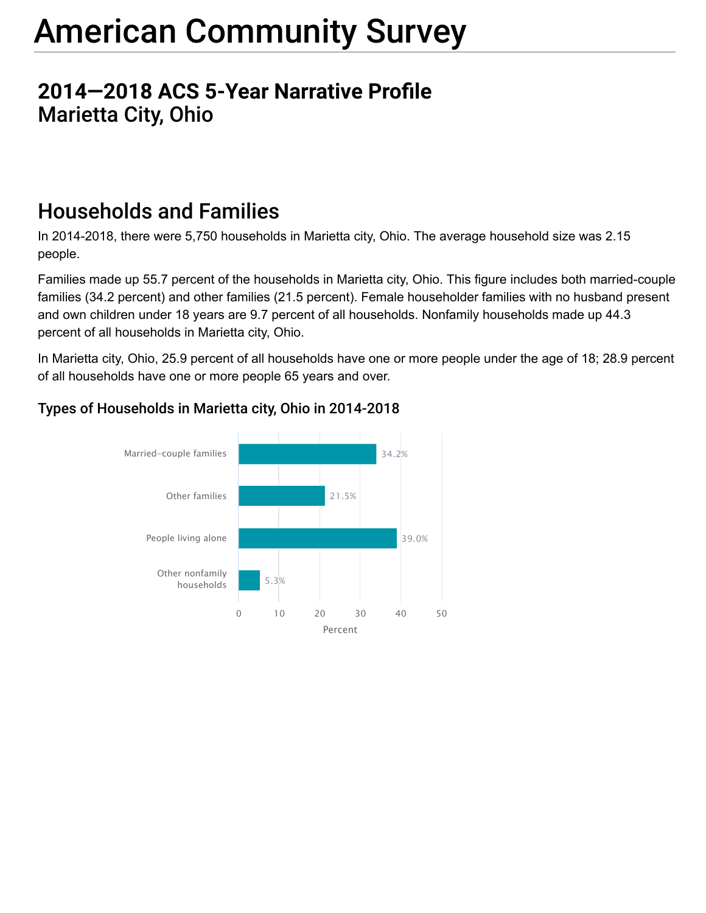## **2014-2018 ACS 5-Year Narrative Profile** Marietta City, Ohio

## Households and Families

In 2014-2018, there were 5,750 households in Marietta city, Ohio. The average household size was 2.15 people.

Families made up 55.7 percent of the households in Marietta city, Ohio. This figure includes both married-couple families (34.2 percent) and other families (21.5 percent). Female householder families with no husband present and own children under 18 years are 9.7 percent of all households. Nonfamily households made up 44.3 percent of all households in Marietta city, Ohio.

In Marietta city, Ohio, 25.9 percent of all households have one or more people under the age of 18; 28.9 percent of all households have one or more people 65 years and over.



### Types of Households in Marietta city, Ohio in 2014-2018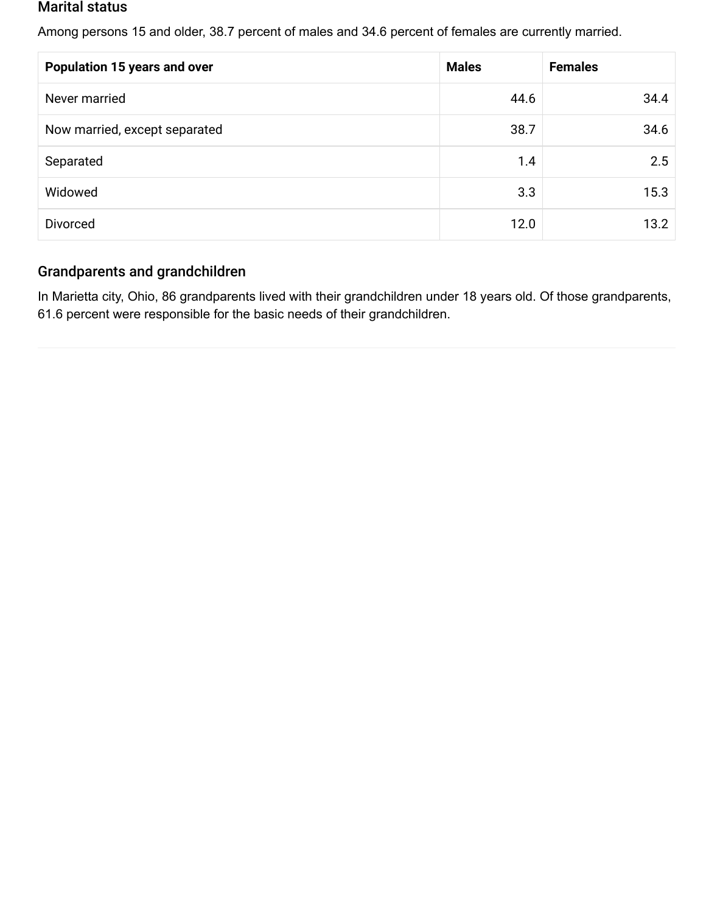#### Marital status

Among persons 15 and older, 38.7 percent of males and 34.6 percent of females are currently married.

| <b>Population 15 years and over</b> | <b>Males</b> | <b>Females</b> |
|-------------------------------------|--------------|----------------|
| Never married                       | 44.6         | 34.4           |
| Now married, except separated       | 38.7         | 34.6           |
| Separated                           | 1.4          | 2.5            |
| Widowed                             | 3.3          | 15.3           |
| <b>Divorced</b>                     | 12.0         | 13.2           |

#### Grandparents and grandchildren

In Marietta city, Ohio, 86 grandparents lived with their grandchildren under 18 years old. Of those grandparents, 61.6 percent were responsible for the basic needs of their grandchildren.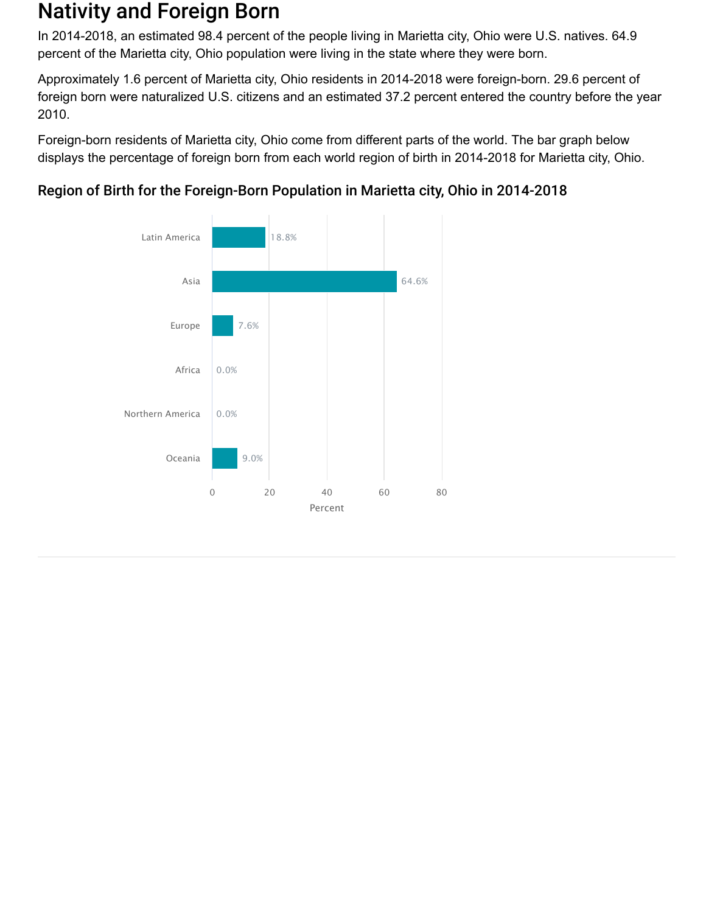### Nativity and Foreign Born

In 2014-2018, an estimated 98.4 percent of the people living in Marietta city, Ohio were U.S. natives. 64.9 percent of the Marietta city, Ohio population were living in the state where they were born.

Approximately 1.6 percent of Marietta city, Ohio residents in 2014-2018 were foreign-born. 29.6 percent of foreign born were naturalized U.S. citizens and an estimated 37.2 percent entered the country before the year 2010.

Foreign-born residents of Marietta city, Ohio come from different parts of the world. The bar graph below displays the percentage of foreign born from each world region of birth in 2014-2018 for Marietta city, Ohio.



### Region of Birth for the Foreign-Born Population in Marietta city, Ohio in 2014-2018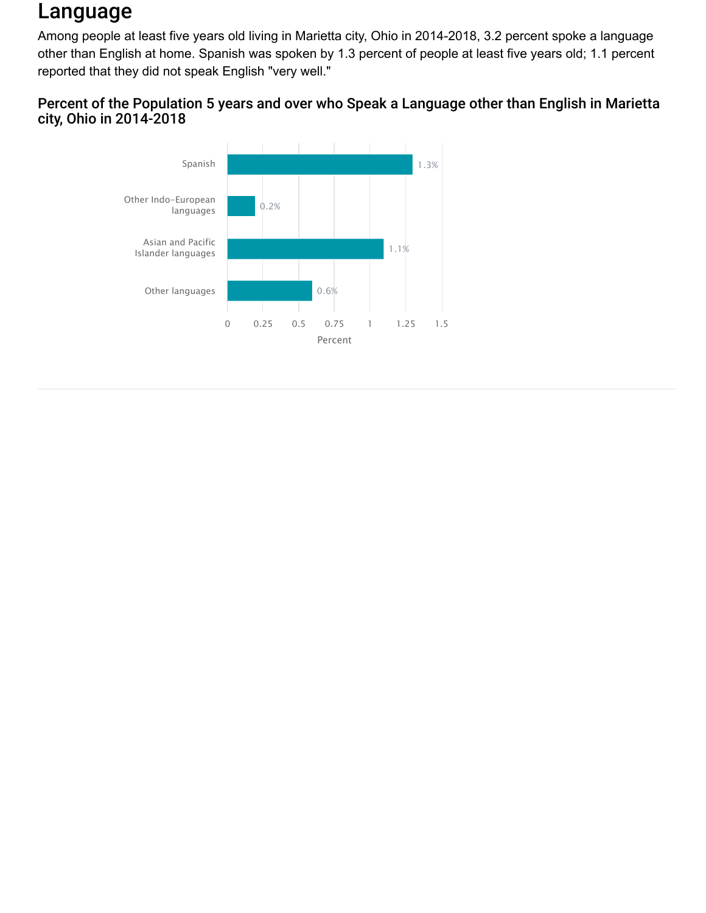## Language

Among people at least five years old living in Marietta city, Ohio in 2014-2018, 3.2 percent spoke a language other than English at home. Spanish was spoken by 1.3 percent of people at least five years old; 1.1 percent reported that they did not speak English "very well."

### Percent of the Population 5 years and over who Speak a Language other than English in Marietta city, Ohio in 2014-2018

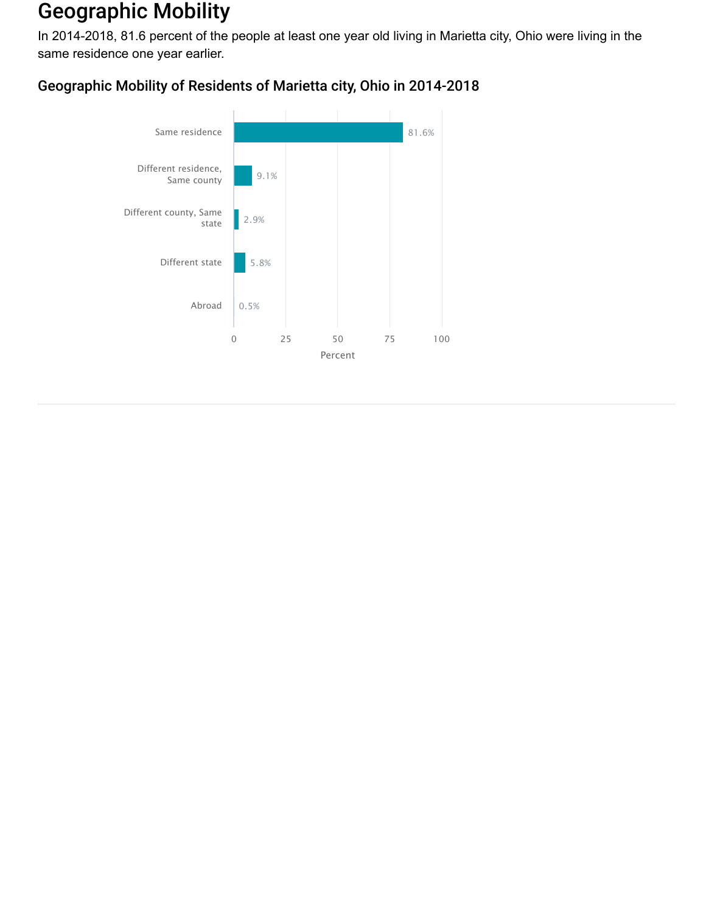## Geographic Mobility

In 2014-2018, 81.6 percent of the people at least one year old living in Marietta city, Ohio were living in the same residence one year earlier.

### Geographic Mobility of Residents of Marietta city, Ohio in 2014-2018

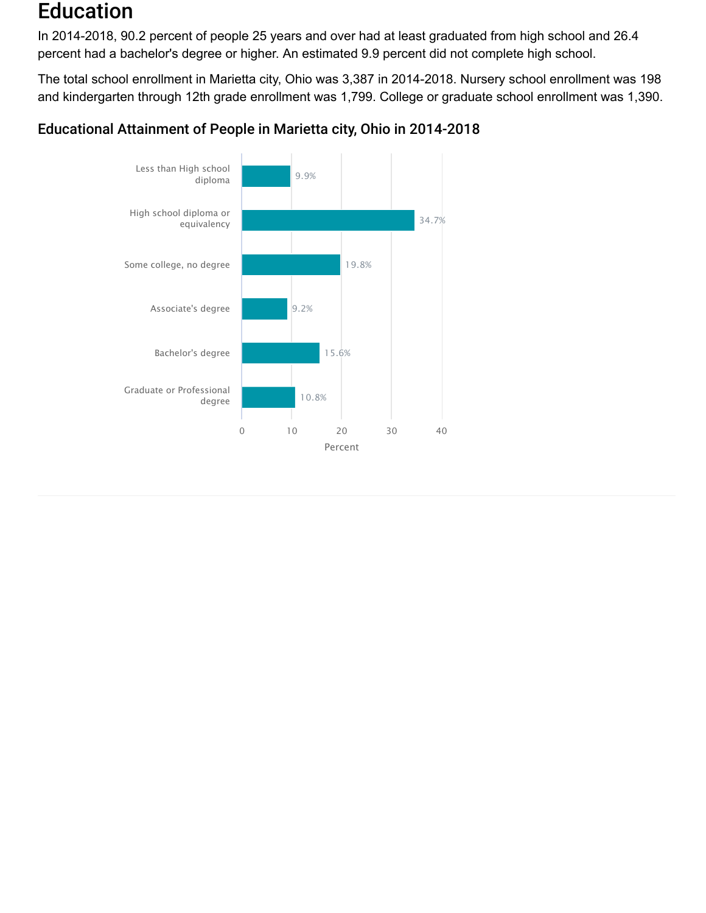### Education

In 2014-2018, 90.2 percent of people 25 years and over had at least graduated from high school and 26.4 percent had a bachelor's degree or higher. An estimated 9.9 percent did not complete high school.

The total school enrollment in Marietta city, Ohio was 3,387 in 2014-2018. Nursery school enrollment was 198 and kindergarten through 12th grade enrollment was 1,799. College or graduate school enrollment was 1,390.

### Educational Attainment of People in Marietta city, Ohio in 2014-2018

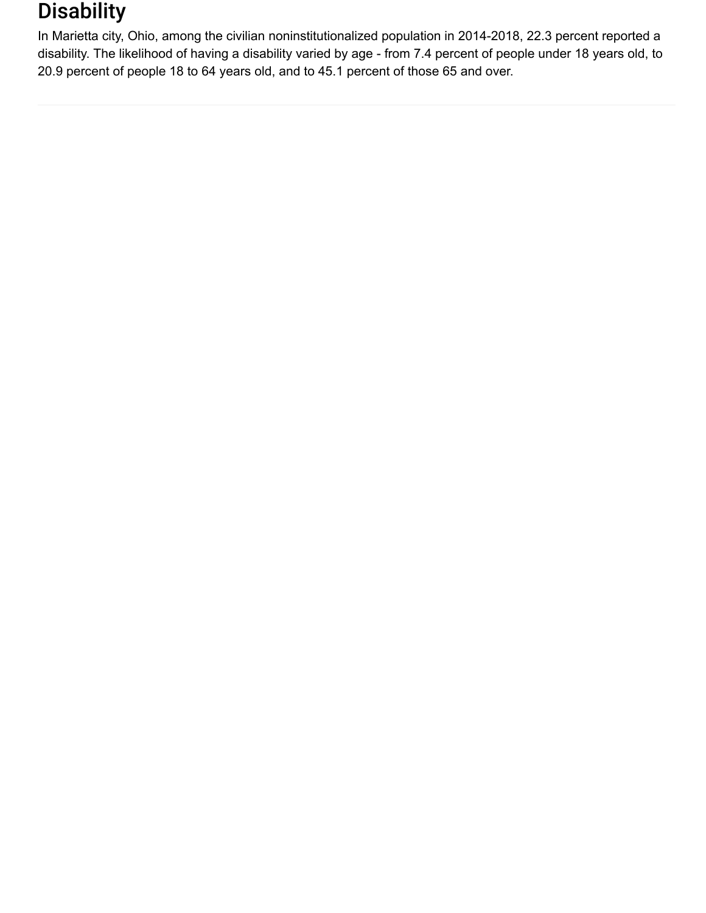## **Disability**

In Marietta city, Ohio, among the civilian noninstitutionalized population in 2014-2018, 22.3 percent reported a disability. The likelihood of having a disability varied by age - from 7.4 percent of people under 18 years old, to 20.9 percent of people 18 to 64 years old, and to 45.1 percent of those 65 and over.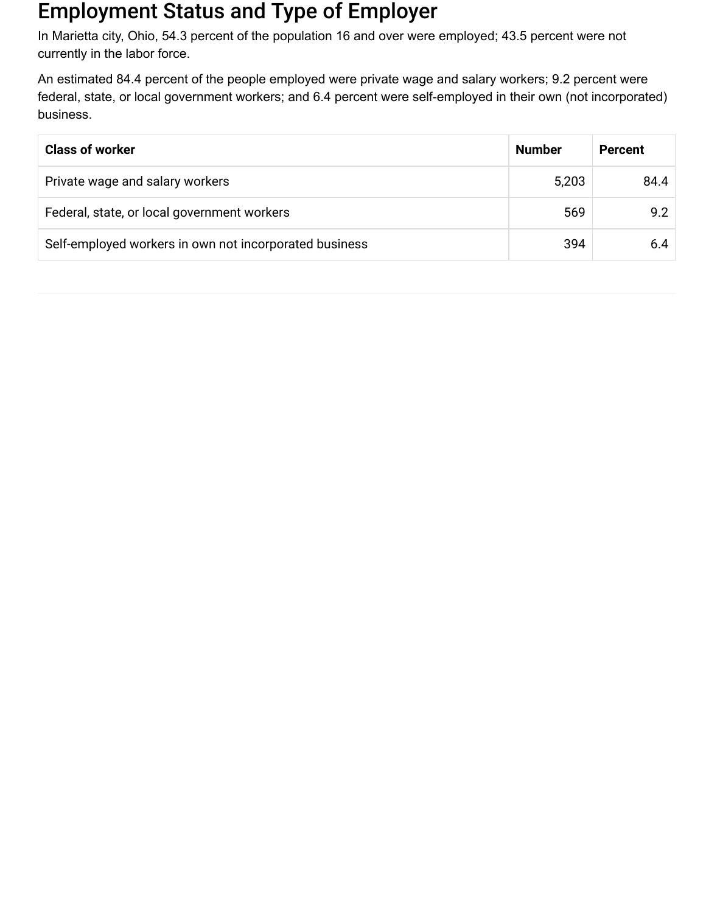## Employment Status and Type of Employer

In Marietta city, Ohio, 54.3 percent of the population 16 and over were employed; 43.5 percent were not currently in the labor force.

An estimated 84.4 percent of the people employed were private wage and salary workers; 9.2 percent were federal, state, or local government workers; and 6.4 percent were self-employed in their own (not incorporated) business.

| <b>Class of worker</b>                                 | <b>Number</b> | <b>Percent</b> |
|--------------------------------------------------------|---------------|----------------|
| Private wage and salary workers                        | 5,203         | 84.4           |
| Federal, state, or local government workers            | 569           | 9.2            |
| Self-employed workers in own not incorporated business | 394           | 6.4            |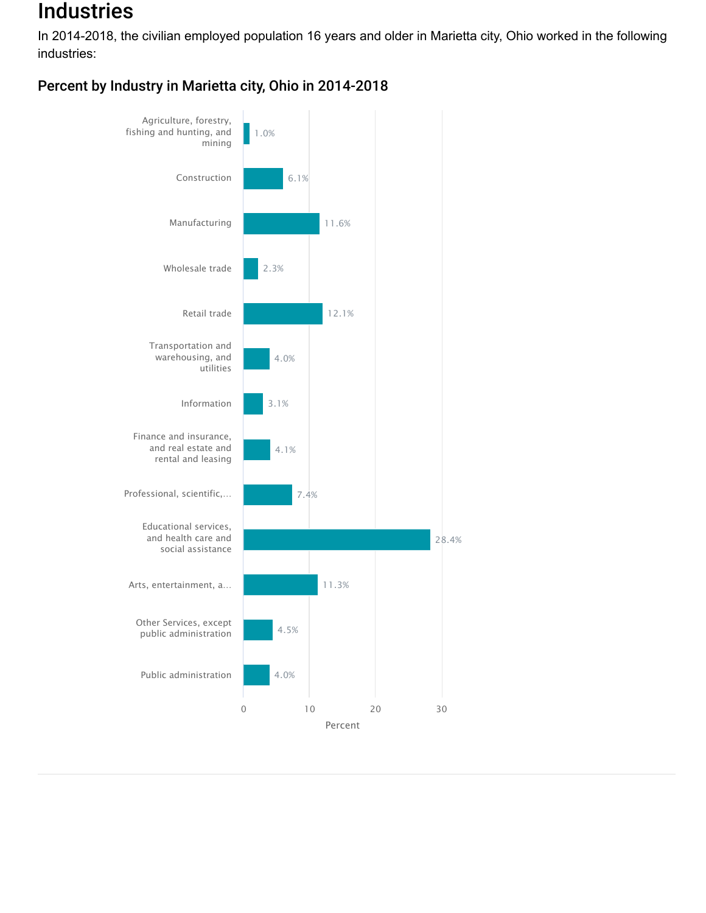## **Industries**

In 2014-2018, the civilian employed population 16 years and older in Marietta city, Ohio worked in the following industries:

Percent by Industry in Marietta city, Ohio in 2014-2018

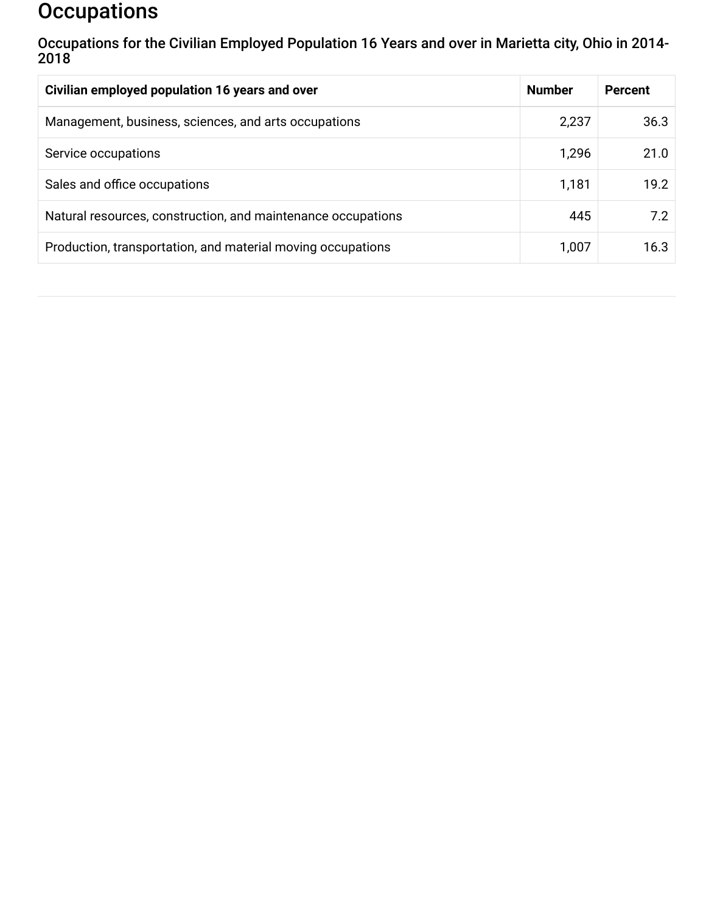## **Occupations**

Occupations for the Civilian Employed Population 16 Years and over in Marietta city, Ohio in 2014- 2018

| Civilian employed population 16 years and over               | <b>Number</b> | <b>Percent</b> |
|--------------------------------------------------------------|---------------|----------------|
| Management, business, sciences, and arts occupations         | 2,237         | 36.3           |
| Service occupations                                          | 1,296         | 21.0           |
| Sales and office occupations                                 | 1,181         | 19.2           |
| Natural resources, construction, and maintenance occupations | 445           | 7.2            |
| Production, transportation, and material moving occupations  | 1,007         | 16.3           |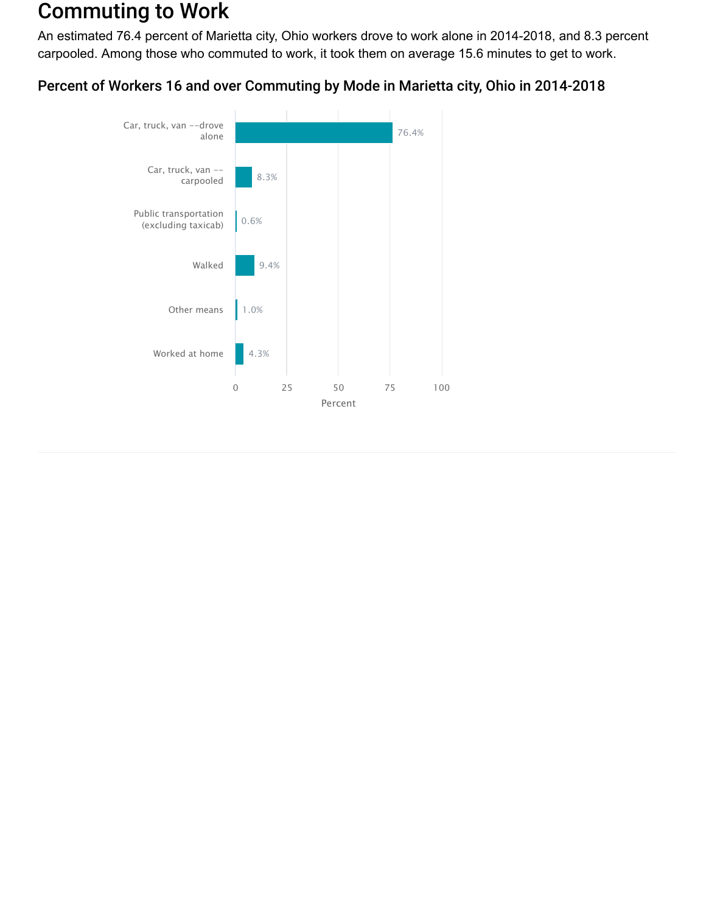## Commuting to Work

An estimated 76.4 percent of Marietta city, Ohio workers drove to work alone in 2014-2018, and 8.3 percent carpooled. Among those who commuted to work, it took them on average 15.6 minutes to get to work.

### Percent of Workers 16 and over Commuting by Mode in Marietta city, Ohio in 2014-2018

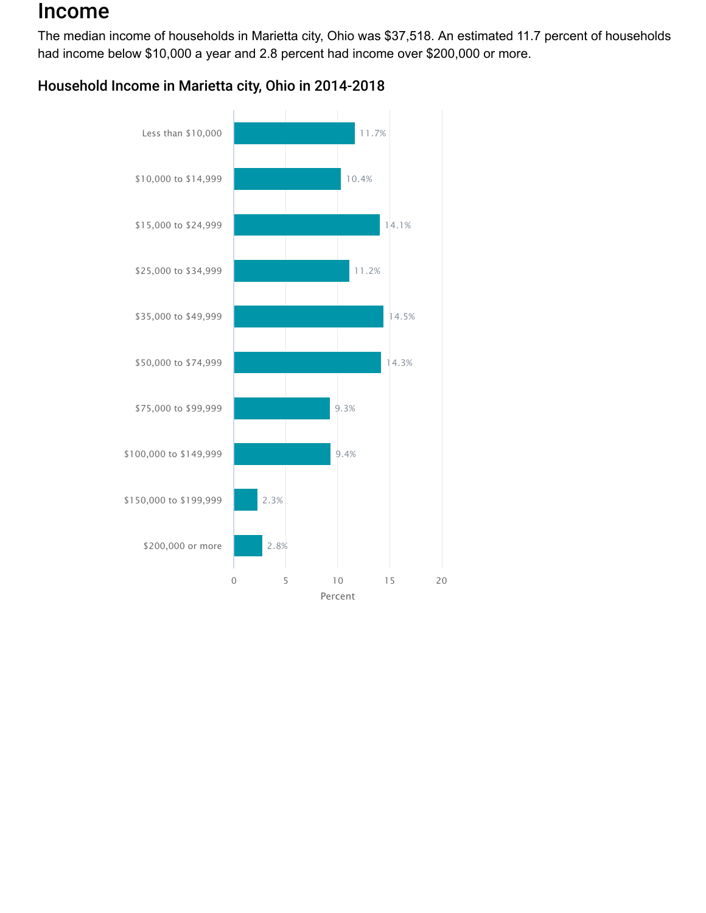### Income

The median income of households in Marietta city, Ohio was \$37,518. An estimated 11.7 percent of households had income below \$10,000 a year and 2.8 percent had income over \$200,000 or more.

### Household Income in Marietta city, Ohio in 2014-2018

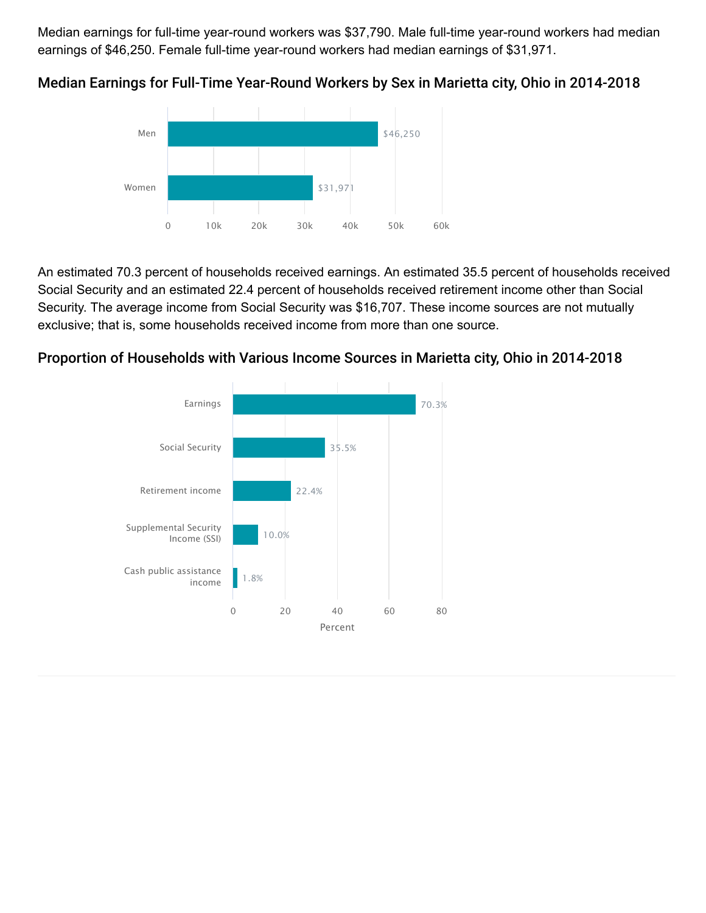Median earnings for full-time year-round workers was \$37,790. Male full-time year-round workers had median earnings of \$46,250. Female full-time year-round workers had median earnings of \$31,971.



Median Earnings for Full-Time Year-Round Workers by Sex in Marietta city, Ohio in 2014-2018

An estimated 70.3 percent of households received earnings. An estimated 35.5 percent of households received Social Security and an estimated 22.4 percent of households received retirement income other than Social Security. The average income from Social Security was \$16,707. These income sources are not mutually exclusive; that is, some households received income from more than one source.



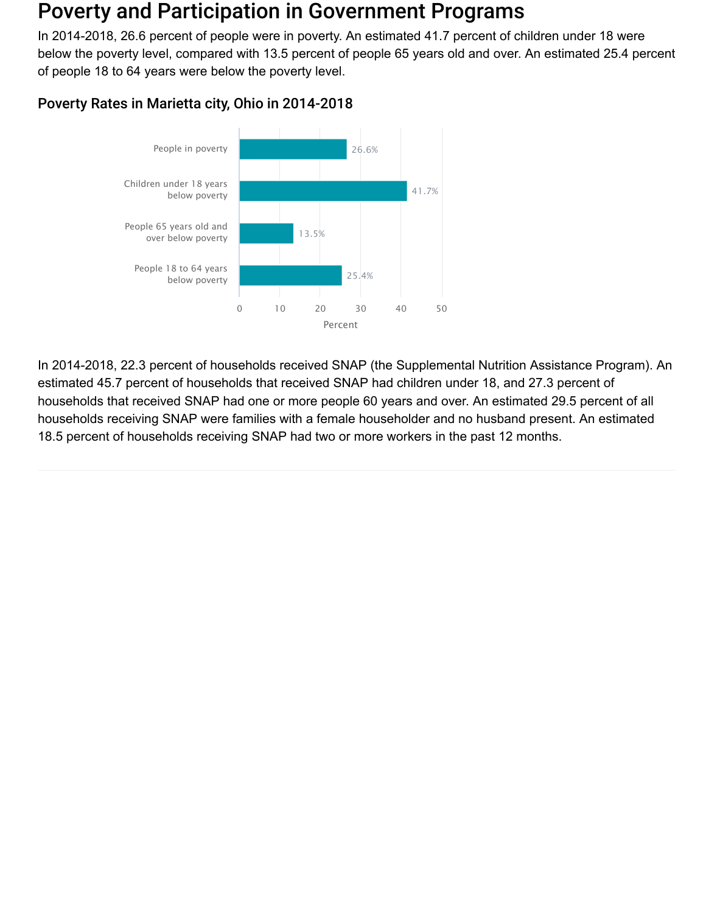### Poverty and Participation in Government Programs

In 2014-2018, 26.6 percent of people were in poverty. An estimated 41.7 percent of children under 18 were below the poverty level, compared with 13.5 percent of people 65 years old and over. An estimated 25.4 percent of people 18 to 64 years were below the poverty level.





In 2014-2018, 22.3 percent of households received SNAP (the Supplemental Nutrition Assistance Program). An estimated 45.7 percent of households that received SNAP had children under 18, and 27.3 percent of households that received SNAP had one or more people 60 years and over. An estimated 29.5 percent of all households receiving SNAP were families with a female householder and no husband present. An estimated 18.5 percent of households receiving SNAP had two or more workers in the past 12 months.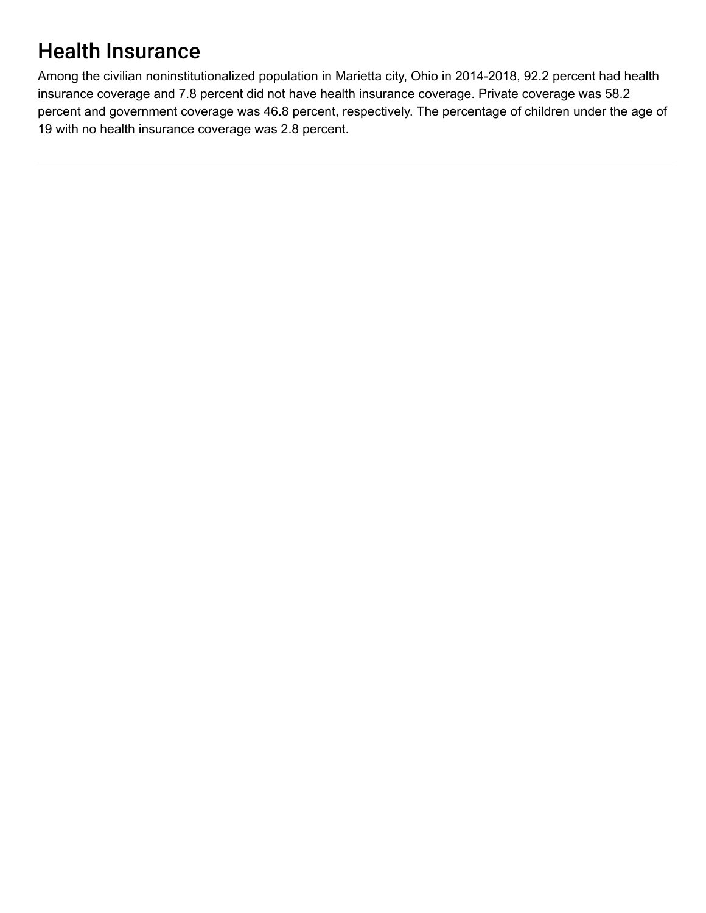# Health Insurance

Among the civilian noninstitutionalized population in Marietta city, Ohio in 2014-2018, 92.2 percent had health insurance coverage and 7.8 percent did not have health insurance coverage. Private coverage was 58.2 percent and government coverage was 46.8 percent, respectively. The percentage of children under the age of 19 with no health insurance coverage was 2.8 percent.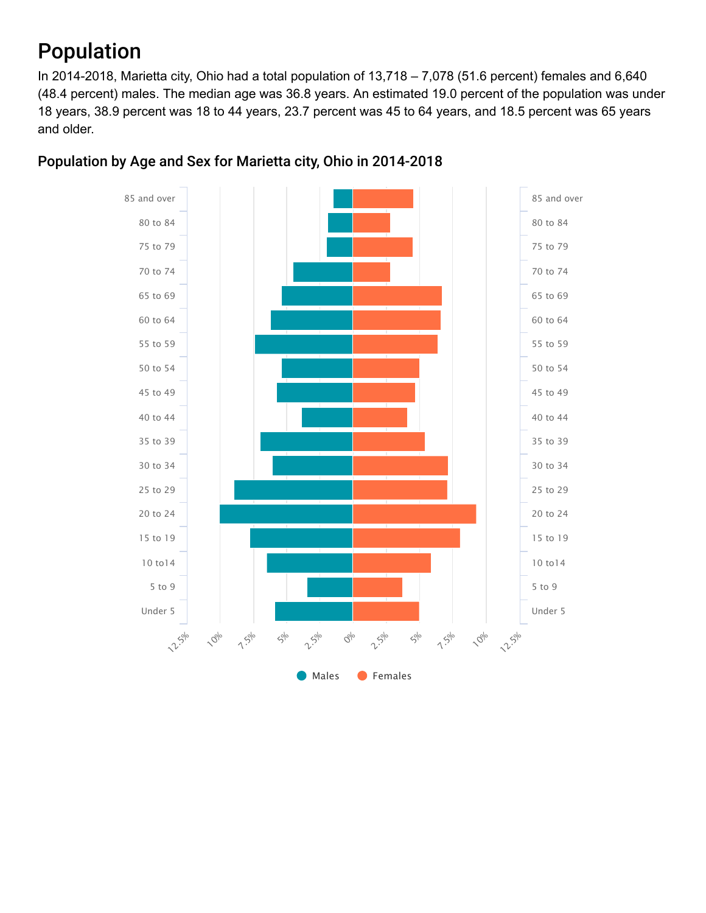# Population

In 2014-2018, Marietta city, Ohio had a total population of 13,718 – 7,078 (51.6 percent) females and 6,640 (48.4 percent) males. The median age was 36.8 years. An estimated 19.0 percent of the population was under 18 years, 38.9 percent was 18 to 44 years, 23.7 percent was 45 to 64 years, and 18.5 percent was 65 years and older.



#### Population by Age and Sex for Marietta city, Ohio in 2014-2018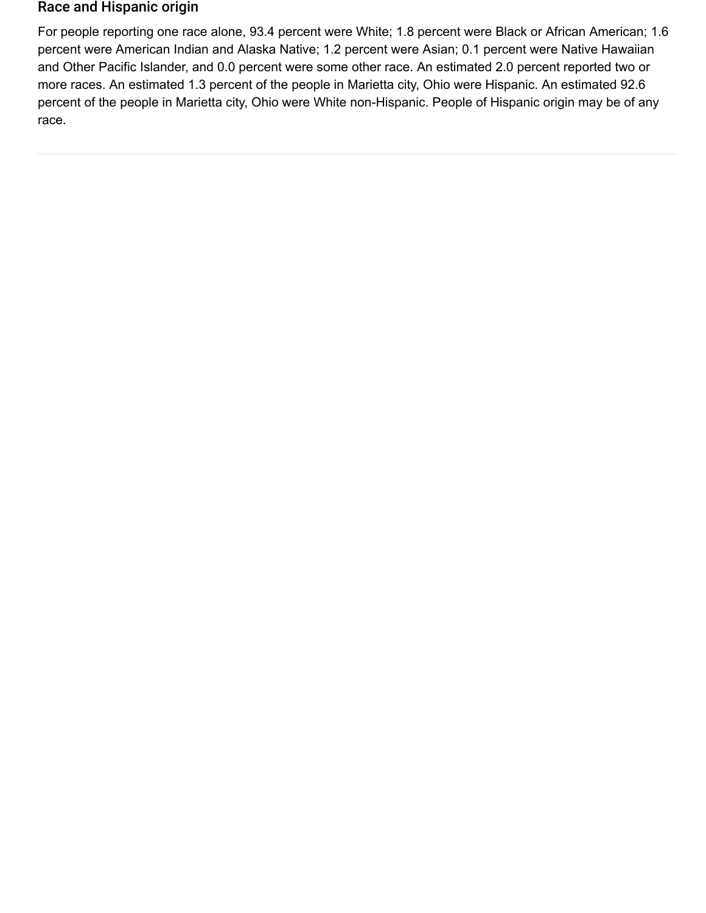#### Race and Hispanic origin

For people reporting one race alone, 93.4 percent were White; 1.8 percent were Black or African American; 1.6 percent were American Indian and Alaska Native; 1.2 percent were Asian; 0.1 percent were Native Hawaiian and Other Pacific Islander, and 0.0 percent were some other race. An estimated 2.0 percent reported two or more races. An estimated 1.3 percent of the people in Marietta city, Ohio were Hispanic. An estimated 92.6 percent of the people in Marietta city, Ohio were White non-Hispanic. People of Hispanic origin may be of any race.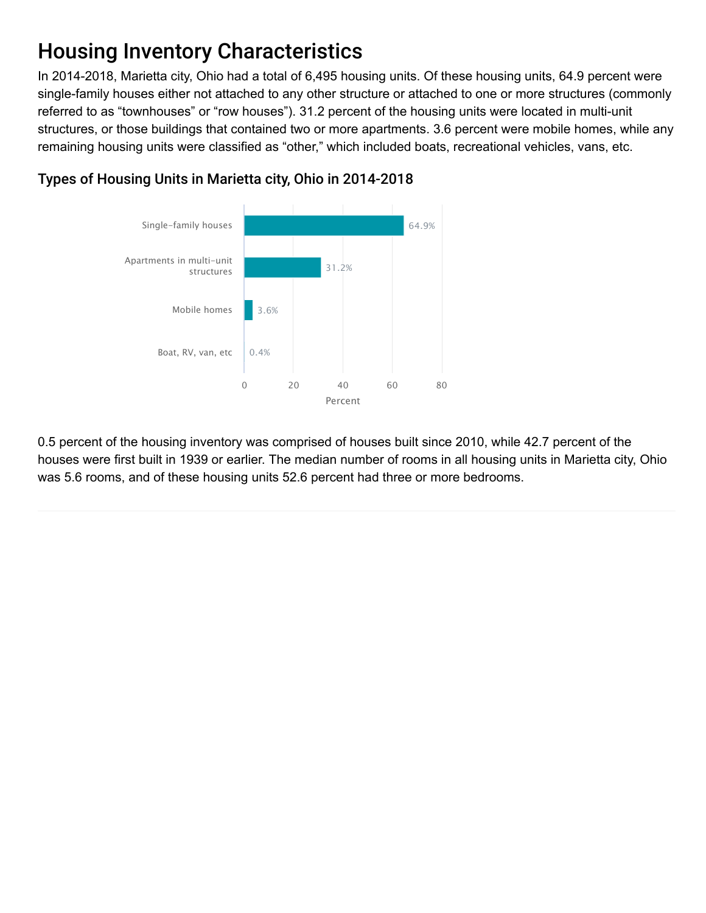# Housing Inventory Characteristics

In 2014-2018, Marietta city, Ohio had a total of 6,495 housing units. Of these housing units, 64.9 percent were single-family houses either not attached to any other structure or attached to one or more structures (commonly referred to as "townhouses" or "row houses"). 31.2 percent of the housing units were located in multi-unit structures, or those buildings that contained two or more apartments. 3.6 percent were mobile homes, while any remaining housing units were classified as "other," which included boats, recreational vehicles, vans, etc.



### Types of Housing Units in Marietta city, Ohio in 2014-2018

0.5 percent of the housing inventory was comprised of houses built since 2010, while 42.7 percent of the houses were first built in 1939 or earlier. The median number of rooms in all housing units in Marietta city, Ohio was 5.6 rooms, and of these housing units 52.6 percent had three or more bedrooms.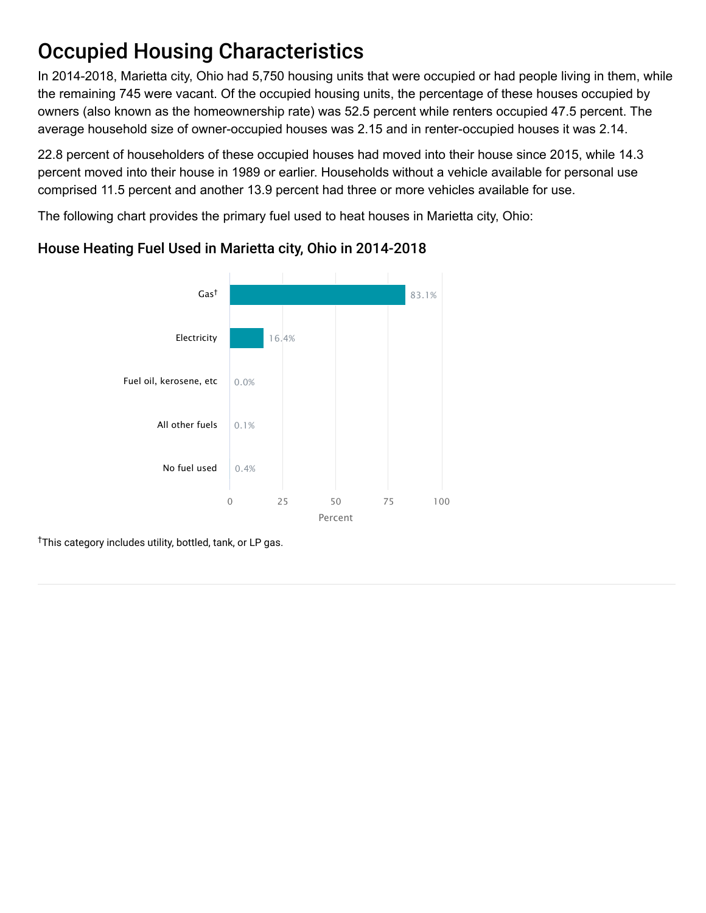# Occupied Housing Characteristics

In 2014-2018, Marietta city, Ohio had 5,750 housing units that were occupied or had people living in them, while the remaining 745 were vacant. Of the occupied housing units, the percentage of these houses occupied by owners (also known as the homeownership rate) was 52.5 percent while renters occupied 47.5 percent. The average household size of owner-occupied houses was 2.15 and in renter-occupied houses it was 2.14.

22.8 percent of householders of these occupied houses had moved into their house since 2015, while 14.3 percent moved into their house in 1989 or earlier. Households without a vehicle available for personal use comprised 11.5 percent and another 13.9 percent had three or more vehicles available for use.

The following chart provides the primary fuel used to heat houses in Marietta city, Ohio:



### House Heating Fuel Used in Marietta city, Ohio in 2014-2018

<sup>†</sup>This category includes utility, bottled, tank, or LP gas.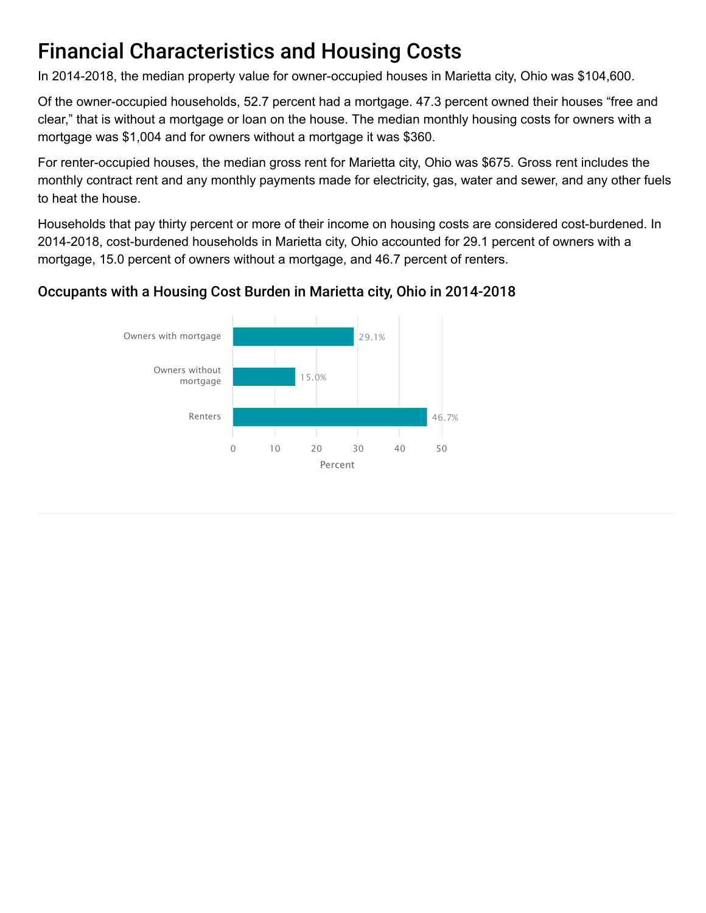# Financial Characteristics and Housing Costs

In 2014-2018, the median property value for owner-occupied houses in Marietta city, Ohio was \$104,600.

Of the owner-occupied households, 52.7 percent had a mortgage. 47.3 percent owned their houses "free and clear," that is without a mortgage or loan on the house. The median monthly housing costs for owners with a mortgage was \$1,004 and for owners without a mortgage it was \$360.

For renter-occupied houses, the median gross rent for Marietta city, Ohio was \$675. Gross rent includes the monthly contract rent and any monthly payments made for electricity, gas, water and sewer, and any other fuels to heat the house.

Households that pay thirty percent or more of their income on housing costs are considered cost-burdened. In 2014-2018, cost-burdened households in Marietta city, Ohio accounted for 29.1 percent of owners with a mortgage, 15.0 percent of owners without a mortgage, and 46.7 percent of renters.

### Occupants with a Housing Cost Burden in Marietta city, Ohio in 2014-2018

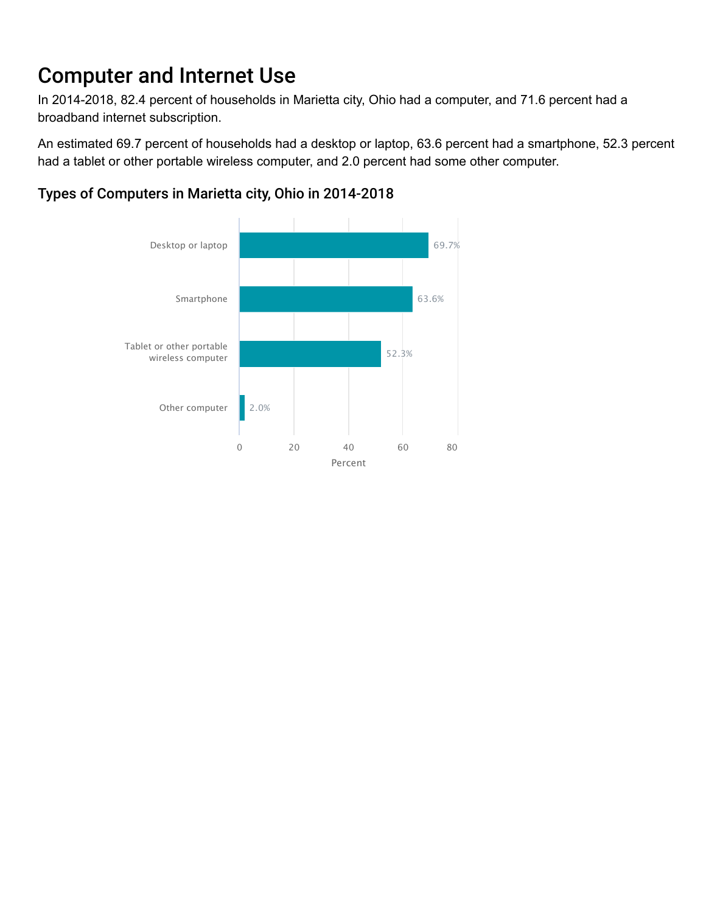# Computer and Internet Use

In 2014-2018, 82.4 percent of households in Marietta city, Ohio had a computer, and 71.6 percent had a broadband internet subscription.

An estimated 69.7 percent of households had a desktop or laptop, 63.6 percent had a smartphone, 52.3 percent had a tablet or other portable wireless computer, and 2.0 percent had some other computer.



### Types of Computers in Marietta city, Ohio in 2014-2018